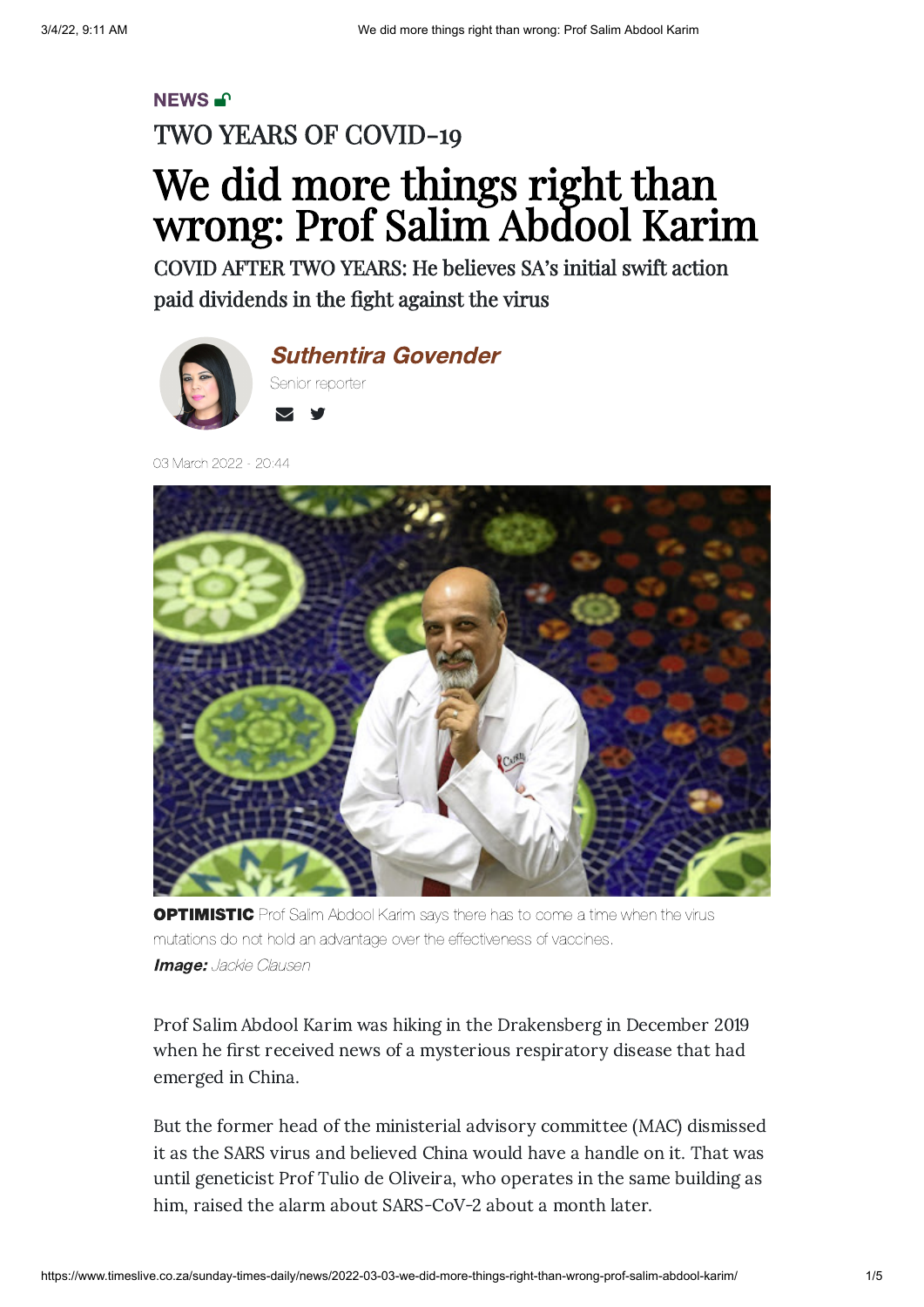### [NEWS](https://www.timeslive.co.za/sunday-times-daily/news/)-<sup>1</sup> TWO YEARS OF COVID-19 We did more things right than wrong: Prof Salim Abdool Karim

COVID AFTER TWO YEARS: He believes SA's initial swift action paid dividends in the fight against the virus





03 March 2022 - 20:44



**OPTIMISTIC** Prof Salim Abdool Karim says there has to come a time when the virus mutations do not hold an advantage over the effectiveness of vaccines. Image: Jackie Clausen

Prof Salim Abdool Karim was hiking in the Drakensberg in December 2019 when he first received news of a mysterious respiratory disease that had emerged in China.

But the former head of the ministerial advisory committee (MAC) dismissed it as the SARS virus and believed China would have a handle on it. That was until geneticist Prof Tulio de Oliveira, who operates in the same building as him, raised the alarm about SARS-CoV-2 about a month later.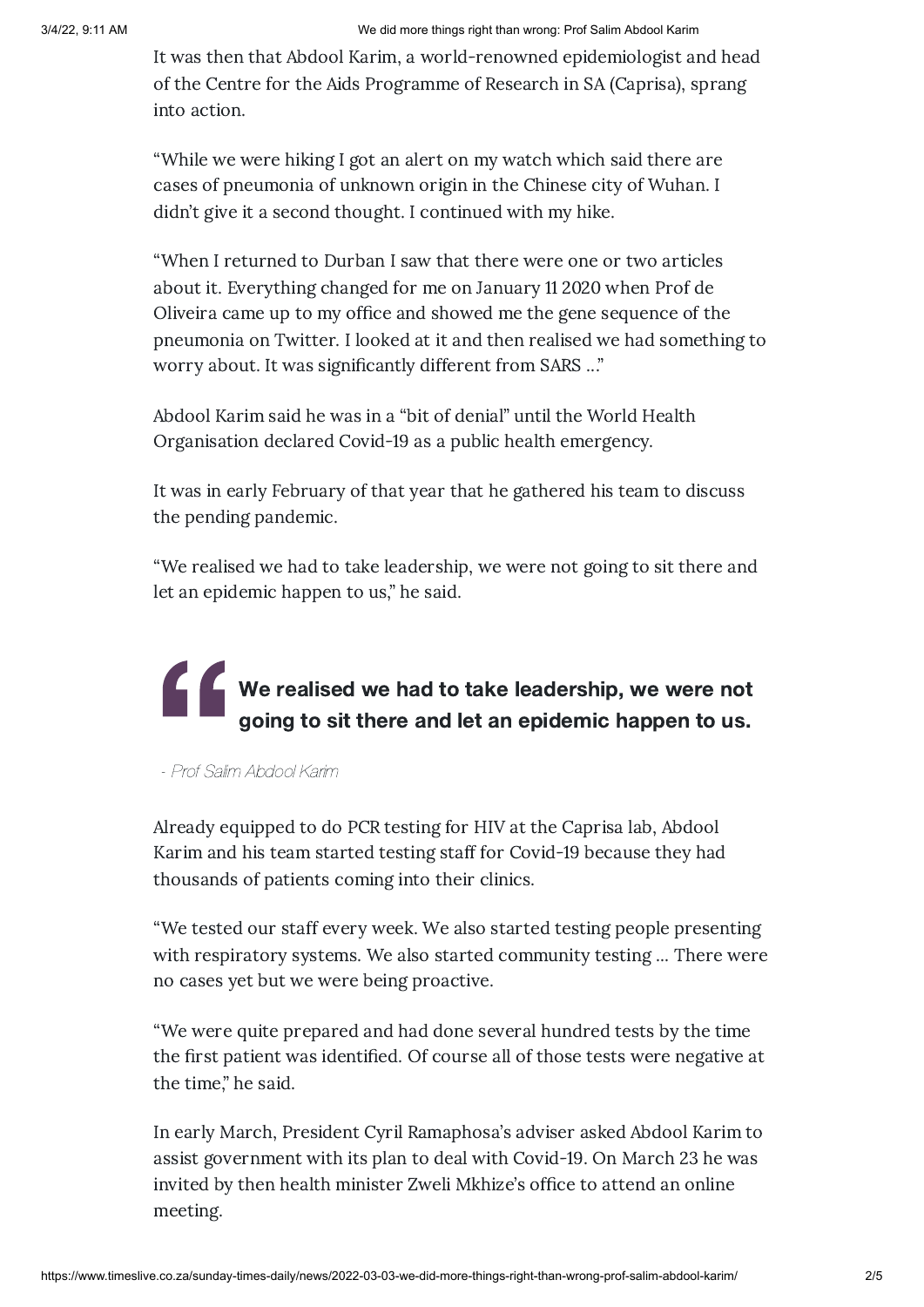It was then that Abdool Karim, a world-renowned epidemiologist and head of the Centre for the Aids Programme of Research in SA (Caprisa), sprang into action.

"While we were hiking I got an alert on my watch which said there are cases of pneumonia of unknown origin in the Chinese city of Wuhan. I didn't give it a second thought. I continued with my hike.

"When I returned to Durban I saw that there were one or two articles about it. Everything changed for me on January 11 2020 when Prof de Oliveira came up to my office and showed me the gene sequence of the pneumonia on Twitter. I looked at it and then realised we had something to worry about. It was significantly different from SARS ..."

Abdool Karim said he was in a "bit of denial" until the World Health Organisation declared Covid-19 as a public health emergency.

It was in early February of that year that he gathered his team to discuss the pending pandemic.

"We realised we had to take leadership, we were not going to sit there and let an epidemic happen to us," he said.

# **Karl Michael**<br>Prof Salim Ab We realised we had to take leadership, we were not going to sit there and let an epidemic happen to us.

- Prof Salim Abdool Karim

Already equipped to do PCR testing for HIV at the Caprisa lab, Abdool Karim and his team started testing staff for Covid-19 because they had thousands of patients coming into their clinics.

"We tested our staff every week. We also started testing people presenting with respiratory systems. We also started community testing ... There were no cases yet but we were being proactive.

"We were quite prepared and had done several hundred tests by the time the first patient was identified. Of course all of those tests were negative at the time," he said.

In early March, President Cyril Ramaphosa's adviser asked Abdool Karim to assist government with its plan to deal with Covid-19. On March 23 he was invited by then health minister Zweli Mkhize's office to attend an online meeting.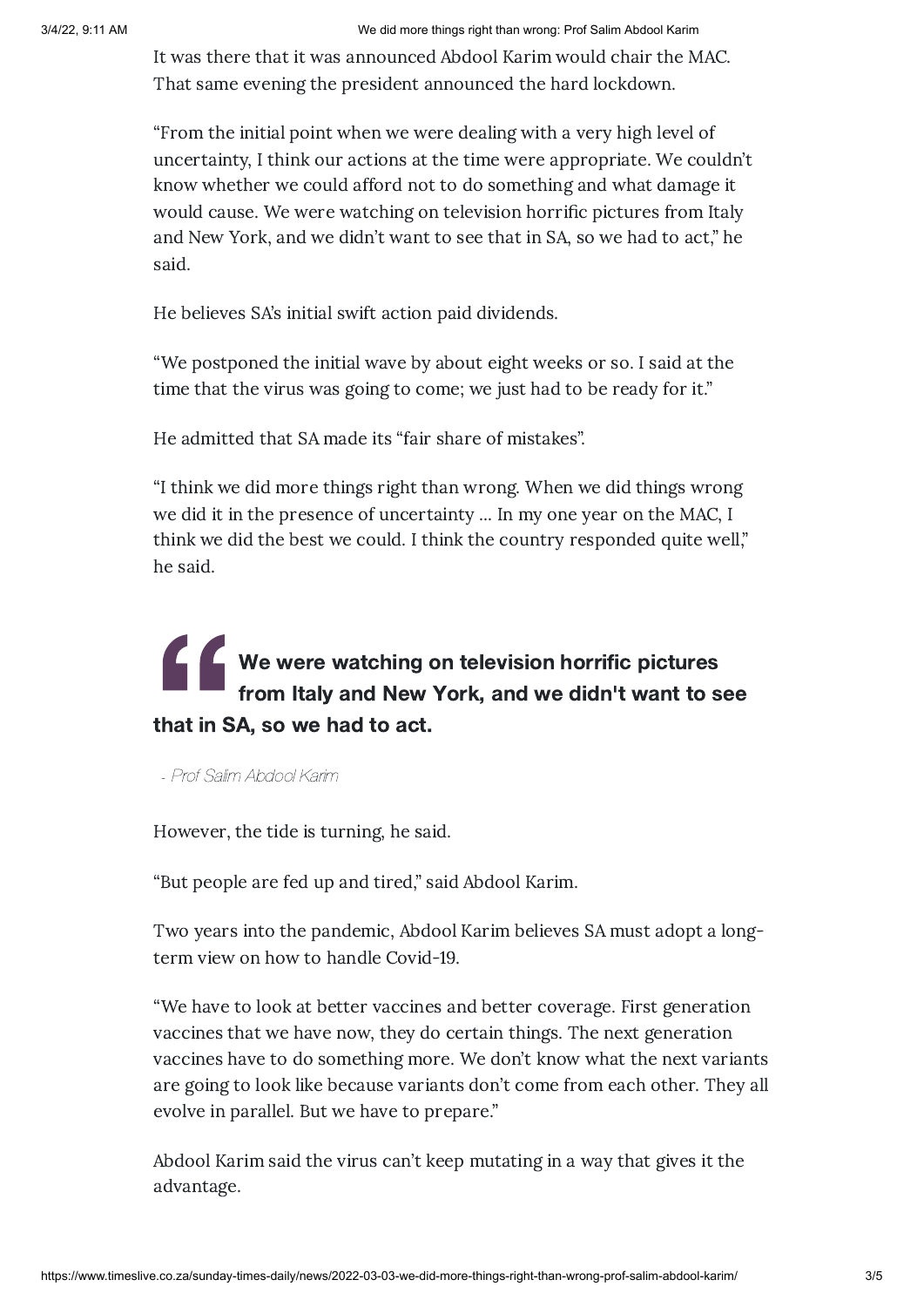It was there that it was announced Abdool Karim would chair the MAC. That same evening the president announced the hard lockdown.

"From the initial point when we were dealing with a very high level of uncertainty, I think our actions at the time were appropriate. We couldn't know whether we could afford not to do something and what damage it would cause. We were watching on television horrific pictures from Italy and New York, and we didn't want to see that in SA, so we had to act," he said.

He believes SA's initial swift action paid dividends.

"We postponed the initial wave by about eight weeks or so. I said at the time that the virus was going to come; we just had to be ready for it."

He admitted that SA made its "fair share of mistakes".

"I think we did more things right than wrong. When we did things wrong we did it in the presence of uncertainty ... In my one year on the MAC, I think we did the best we could. I think the country responded quite well," he said.

## THE WAY THE WAY THE REAL PROPERTY AND THE REAL PROPERTY. We were watching on television horrific pictures from Italy and New York, and we didn't want to see that in SA, so we had to act.

- Prof Salim Abdool Karim

However, the tide is turning, he said.

"But people are fed up and tired," said Abdool Karim.

Two years into the pandemic, Abdool Karim believes SA must adopt a longterm view on how to handle Covid-19.

"We have to look at better vaccines and better coverage. First generation vaccines that we have now, they do certain things. The next generation vaccines have to do something more. We don't know what the next variants are going to look like because variants don't come from each other. They all evolve in parallel. But we have to prepare."

Abdool Karim said the virus can't keep mutating in a way that gives it the advantage.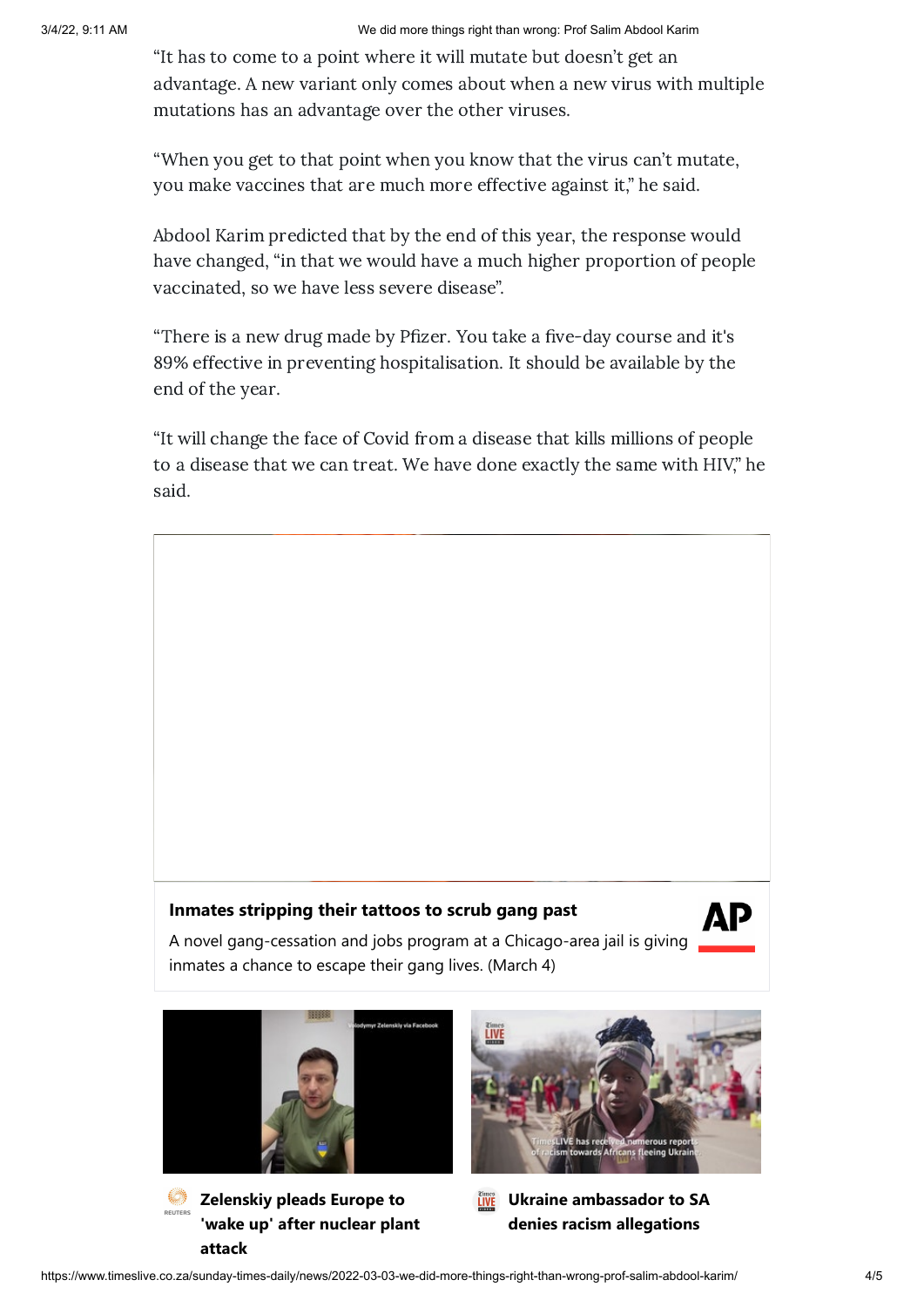"It has to come to a point where it will mutate but doesn't get an advantage. A new variant only comes about when a new virus with multiple mutations has an advantage over the other viruses.

"When you get to that point when you know that the virus can't mutate, you make vaccines that are much more effective against it," he said.

Abdool Karim predicted that by the end of this year, the response would have changed, "in that we would have a much higher proportion of people vaccinated, so we have less severe disease".

"There is a new drug made by Pfizer. You take a five-day course and it's 89% effective in preventing hospitalisation. It should be available by the end of the year.

"It will change the face of Covid from a disease that kills millions of people to a disease that we can treat. We have done exactly the same with HIV," he said.

### **Inmates stripping their tattoos to scrub gang past**



A novel gang-cessation and jobs program at a Chicago-area jail is giving inmates a chance to escape their gang lives. (March 4)



**attack**